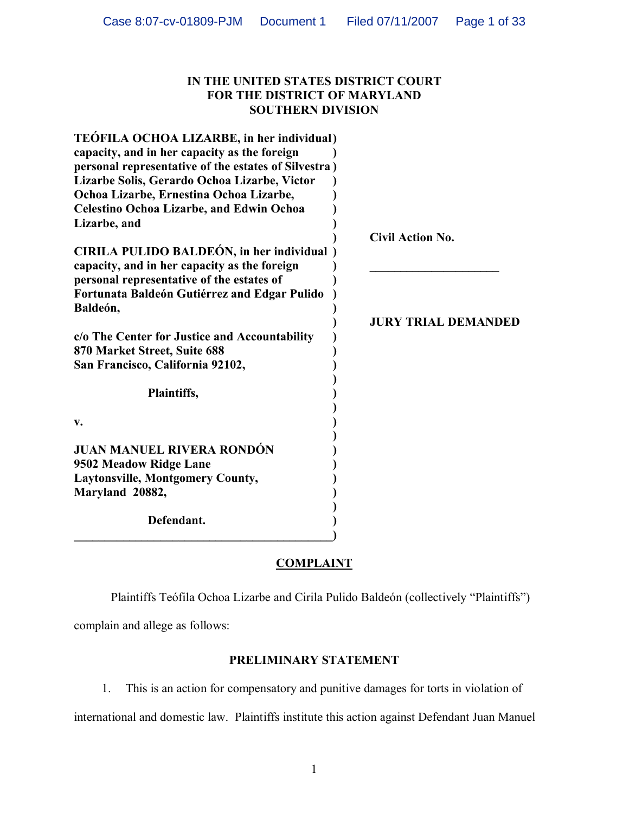## **IN THE UNITED STATES DISTRICT COURT FOR THE DISTRICT OF MARYLAND SOUTHERN DIVISION**

| TEÓFILA OCHOA LIZARBE, in her individual)<br>capacity, and in her capacity as the foreign<br>personal representative of the estates of Silvestra)<br>Lizarbe Solis, Gerardo Ochoa Lizarbe, Victor<br>Ochoa Lizarbe, Ernestina Ochoa Lizarbe,<br><b>Celestino Ochoa Lizarbe, and Edwin Ochoa</b> |                            |
|-------------------------------------------------------------------------------------------------------------------------------------------------------------------------------------------------------------------------------------------------------------------------------------------------|----------------------------|
| Lizarbe, and                                                                                                                                                                                                                                                                                    | <b>Civil Action No.</b>    |
| CIRILA PULIDO BALDEÓN, in her individual<br>capacity, and in her capacity as the foreign<br>personal representative of the estates of<br>Fortunata Baldeón Gutiérrez and Edgar Pulido                                                                                                           |                            |
| Baldeón,                                                                                                                                                                                                                                                                                        |                            |
| c/o The Center for Justice and Accountability<br>870 Market Street, Suite 688<br>San Francisco, California 92102,                                                                                                                                                                               | <b>JURY TRIAL DEMANDED</b> |
| Plaintiffs,                                                                                                                                                                                                                                                                                     |                            |
|                                                                                                                                                                                                                                                                                                 |                            |
| V.                                                                                                                                                                                                                                                                                              |                            |
| <b>JUAN MANUEL RIVERA RONDÓN</b><br>9502 Meadow Ridge Lane                                                                                                                                                                                                                                      |                            |
| <b>Laytonsville, Montgomery County,</b>                                                                                                                                                                                                                                                         |                            |
| Maryland 20882,                                                                                                                                                                                                                                                                                 |                            |
| Defendant.                                                                                                                                                                                                                                                                                      |                            |

## **COMPLAINT**

Plaintiffs Teófila Ochoa Lizarbe and Cirila Pulido Baldeón (collectively "Plaintiffs")

complain and allege as follows:

## **PRELIMINARY STATEMENT**

1. This is an action for compensatory and punitive damages for torts in violation of

international and domestic law. Plaintiffs institute this action against Defendant Juan Manuel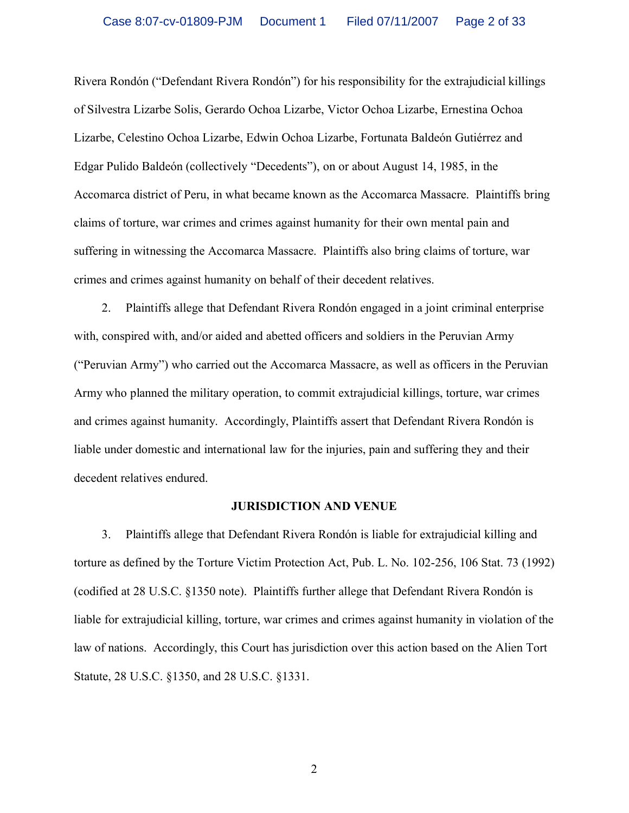Rivera Rondón ("Defendant Rivera Rondón") for his responsibility for the extrajudicial killings of Silvestra Lizarbe Solis, Gerardo Ochoa Lizarbe, Victor Ochoa Lizarbe, Ernestina Ochoa Lizarbe, Celestino Ochoa Lizarbe, Edwin Ochoa Lizarbe, Fortunata Baldeón Gutiérrez and Edgar Pulido Baldeón (collectively "Decedents"), on or about August 14, 1985, in the Accomarca district of Peru, in what became known as the Accomarca Massacre. Plaintiffs bring claims of torture, war crimes and crimes against humanity for their own mental pain and suffering in witnessing the Accomarca Massacre. Plaintiffs also bring claims of torture, war crimes and crimes against humanity on behalf of their decedent relatives.

2. Plaintiffs allege that Defendant Rivera Rondón engaged in a joint criminal enterprise with, conspired with, and/or aided and abetted officers and soldiers in the Peruvian Army ("Peruvian Army") who carried out the Accomarca Massacre, as well as officers in the Peruvian Army who planned the military operation, to commit extrajudicial killings, torture, war crimes and crimes against humanity. Accordingly, Plaintiffs assert that Defendant Rivera Rondón is liable under domestic and international law for the injuries, pain and suffering they and their decedent relatives endured.

#### **JURISDICTION AND VENUE**

3. Plaintiffs allege that Defendant Rivera Rondón is liable for extrajudicial killing and torture as defined by the Torture Victim Protection Act, Pub. L. No. 102-256, 106 Stat. 73 (1992) (codified at 28 U.S.C. §1350 note). Plaintiffs further allege that Defendant Rivera Rondón is liable for extrajudicial killing, torture, war crimes and crimes against humanity in violation of the law of nations. Accordingly, this Court has jurisdiction over this action based on the Alien Tort Statute, 28 U.S.C. §1350, and 28 U.S.C. §1331.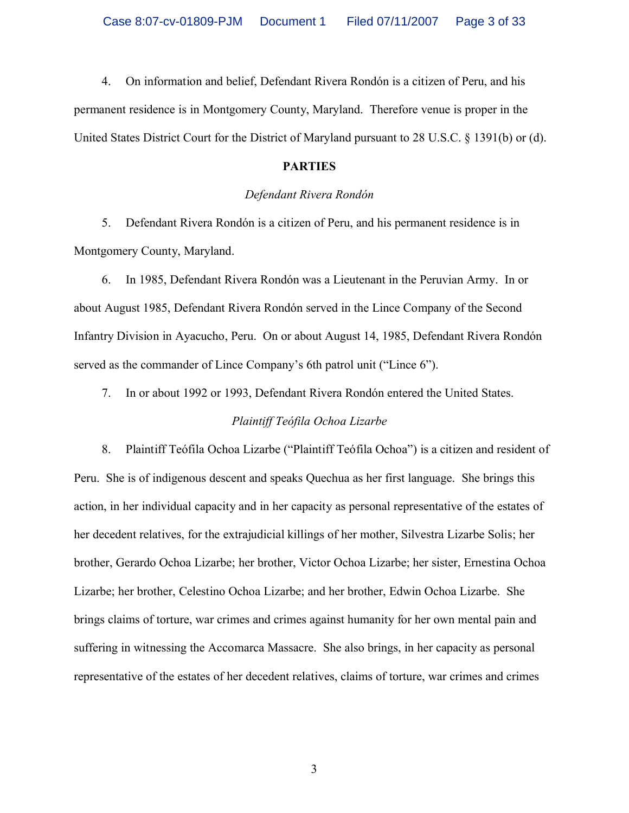4. On information and belief, Defendant Rivera Rondón is a citizen of Peru, and his permanent residence is in Montgomery County, Maryland. Therefore venue is proper in the United States District Court for the District of Maryland pursuant to 28 U.S.C. § 1391(b) or (d).

### **PARTIES**

## *Defendant Rivera Rondón*

5. Defendant Rivera Rondón is a citizen of Peru, and his permanent residence is in Montgomery County, Maryland.

6. In 1985, Defendant Rivera Rondón was a Lieutenant in the Peruvian Army. In or about August 1985, Defendant Rivera Rondón served in the Lince Company of the Second Infantry Division in Ayacucho, Peru. On or about August 14, 1985, Defendant Rivera Rondón served as the commander of Lince Company's 6th patrol unit ("Lince 6").

7. In or about 1992 or 1993, Defendant Rivera Rondón entered the United States.

## *Plaintiff Teófila Ochoa Lizarbe*

8. Plaintiff Teófila Ochoa Lizarbe ("Plaintiff Teófila Ochoa") is a citizen and resident of Peru. She is of indigenous descent and speaks Quechua as her first language. She brings this action, in her individual capacity and in her capacity as personal representative of the estates of her decedent relatives, for the extrajudicial killings of her mother, Silvestra Lizarbe Solis; her brother, Gerardo Ochoa Lizarbe; her brother, Victor Ochoa Lizarbe; her sister, Ernestina Ochoa Lizarbe; her brother, Celestino Ochoa Lizarbe; and her brother, Edwin Ochoa Lizarbe. She brings claims of torture, war crimes and crimes against humanity for her own mental pain and suffering in witnessing the Accomarca Massacre. She also brings, in her capacity as personal representative of the estates of her decedent relatives, claims of torture, war crimes and crimes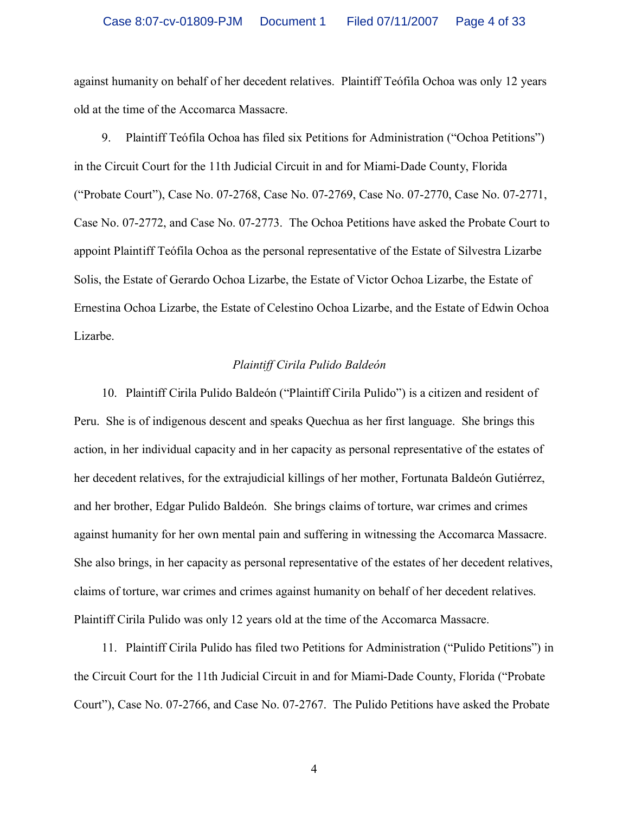against humanity on behalf of her decedent relatives. Plaintiff Teófila Ochoa was only 12 years old at the time of the Accomarca Massacre.

9. Plaintiff Teófila Ochoa has filed six Petitions for Administration ("Ochoa Petitions") in the Circuit Court for the 11th Judicial Circuit in and for Miami-Dade County, Florida ("Probate Court"), Case No. 07-2768, Case No. 07-2769, Case No. 07-2770, Case No. 07-2771, Case No. 07-2772, and Case No. 07-2773. The Ochoa Petitions have asked the Probate Court to appoint Plaintiff Teófila Ochoa as the personal representative of the Estate of Silvestra Lizarbe Solis, the Estate of Gerardo Ochoa Lizarbe, the Estate of Victor Ochoa Lizarbe, the Estate of Ernestina Ochoa Lizarbe, the Estate of Celestino Ochoa Lizarbe, and the Estate of Edwin Ochoa Lizarbe.

#### *Plaintiff Cirila Pulido Baldeón*

10. Plaintiff Cirila Pulido Baldeón ("Plaintiff Cirila Pulido") is a citizen and resident of Peru. She is of indigenous descent and speaks Quechua as her first language. She brings this action, in her individual capacity and in her capacity as personal representative of the estates of her decedent relatives, for the extrajudicial killings of her mother, Fortunata Baldeón Gutiérrez, and her brother, Edgar Pulido Baldeón. She brings claims of torture, war crimes and crimes against humanity for her own mental pain and suffering in witnessing the Accomarca Massacre. She also brings, in her capacity as personal representative of the estates of her decedent relatives, claims of torture, war crimes and crimes against humanity on behalf of her decedent relatives. Plaintiff Cirila Pulido was only 12 years old at the time of the Accomarca Massacre.

11. Plaintiff Cirila Pulido has filed two Petitions for Administration ("Pulido Petitions") in the Circuit Court for the 11th Judicial Circuit in and for Miami-Dade County, Florida ("Probate Court"), Case No. 07-2766, and Case No. 07-2767. The Pulido Petitions have asked the Probate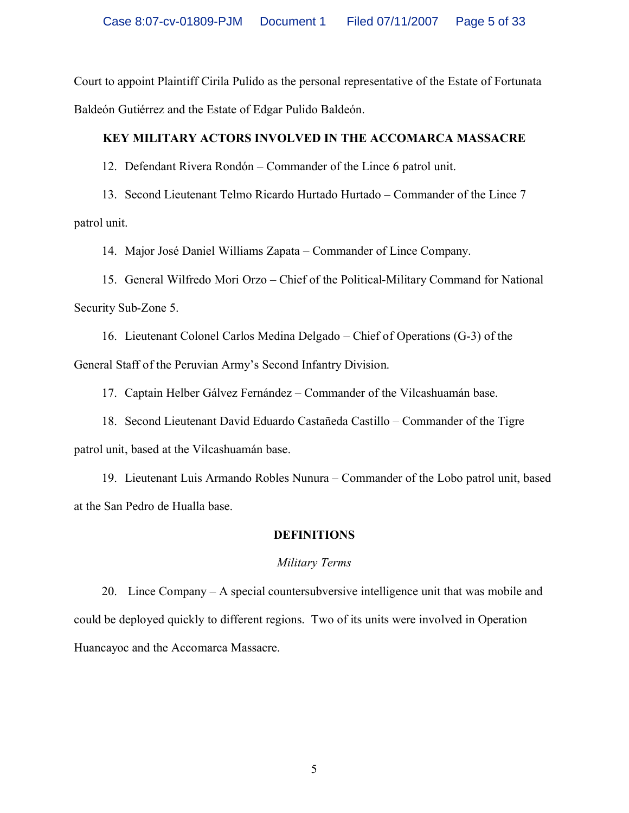Court to appoint Plaintiff Cirila Pulido as the personal representative of the Estate of Fortunata Baldeón Gutiérrez and the Estate of Edgar Pulido Baldeón.

## **KEY MILITARY ACTORS INVOLVED IN THE ACCOMARCA MASSACRE**

12. Defendant Rivera Rondón – Commander of the Lince 6 patrol unit.

13. Second Lieutenant Telmo Ricardo Hurtado Hurtado – Commander of the Lince 7 patrol unit.

14. Major José Daniel Williams Zapata – Commander of Lince Company.

15. General Wilfredo Mori Orzo – Chief of the Political-Military Command for National Security Sub-Zone 5.

16. Lieutenant Colonel Carlos Medina Delgado – Chief of Operations (G-3) of the General Staff of the Peruvian Army's Second Infantry Division.

17. Captain Helber Gálvez Fernández – Commander of the Vilcashuamán base.

18. Second Lieutenant David Eduardo Castañeda Castillo – Commander of the Tigre patrol unit, based at the Vilcashuamán base.

19. Lieutenant Luis Armando Robles Nunura – Commander of the Lobo patrol unit, based at the San Pedro de Hualla base.

## **DEFINITIONS**

## *Military Terms*

20. Lince Company – A special countersubversive intelligence unit that was mobile and could be deployed quickly to different regions. Two of its units were involved in Operation Huancayoc and the Accomarca Massacre.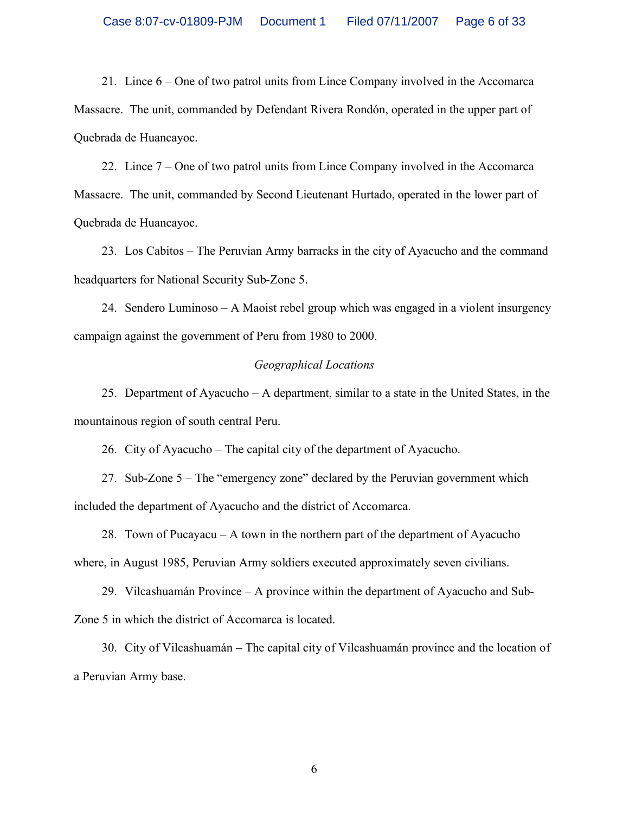21. Lince 6 – One of two patrol units from Lince Company involved in the Accomarca Massacre. The unit, commanded by Defendant Rivera Rondón, operated in the upper part of Quebrada de Huancayoc.

22. Lince 7 – One of two patrol units from Lince Company involved in the Accomarca Massacre. The unit, commanded by Second Lieutenant Hurtado, operated in the lower part of Quebrada de Huancayoc.

23. Los Cabitos – The Peruvian Army barracks in the city of Ayacucho and the command headquarters for National Security Sub-Zone 5.

24. Sendero Luminoso – A Maoist rebel group which was engaged in a violent insurgency campaign against the government of Peru from 1980 to 2000.

#### *Geographical Locations*

25. Department of Ayacucho – A department, similar to a state in the United States, in the mountainous region of south central Peru.

26. City of Ayacucho – The capital city of the department of Ayacucho.

27. Sub-Zone 5 – The "emergency zone" declared by the Peruvian government which included the department of Ayacucho and the district of Accomarca.

28. Town of Pucayacu – A town in the northern part of the department of Ayacucho where, in August 1985, Peruvian Army soldiers executed approximately seven civilians.

29. Vilcashuamán Province – A province within the department of Ayacucho and Sub-Zone 5 in which the district of Accomarca is located.

30. City of Vilcashuamán – The capital city of Vilcashuamán province and the location of a Peruvian Army base.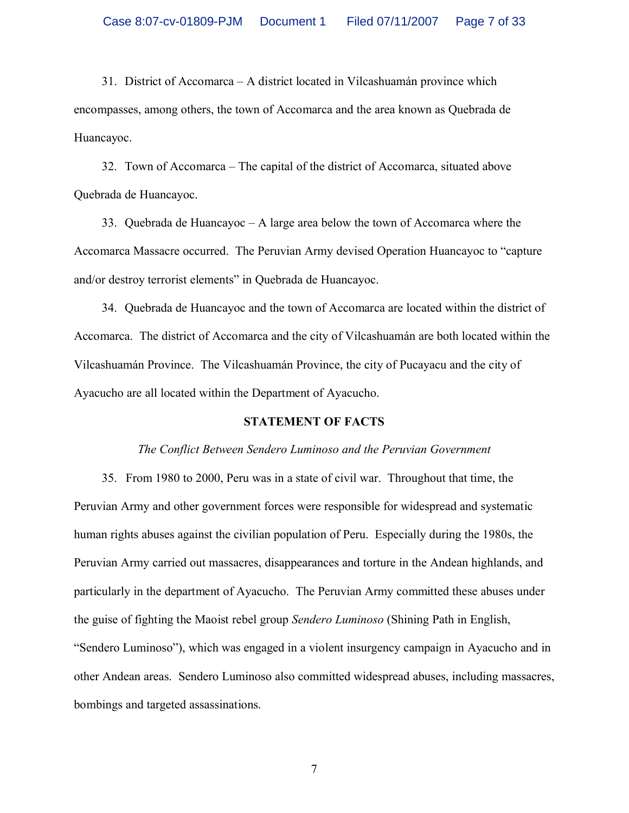31. District of Accomarca – A district located in Vilcashuamán province which encompasses, among others, the town of Accomarca and the area known as Quebrada de Huancayoc.

32. Town of Accomarca – The capital of the district of Accomarca, situated above Quebrada de Huancayoc.

33. Quebrada de Huancayoc – A large area below the town of Accomarca where the Accomarca Massacre occurred. The Peruvian Army devised Operation Huancayoc to "capture and/or destroy terrorist elements" in Quebrada de Huancayoc.

34. Quebrada de Huancayoc and the town of Accomarca are located within the district of Accomarca. The district of Accomarca and the city of Vilcashuamán are both located within the Vilcashuamán Province. The Vilcashuamán Province, the city of Pucayacu and the city of Ayacucho are all located within the Department of Ayacucho.

#### **STATEMENT OF FACTS**

#### *The Conflict Between Sendero Luminoso and the Peruvian Government*

35. From 1980 to 2000, Peru was in a state of civil war. Throughout that time, the Peruvian Army and other government forces were responsible for widespread and systematic human rights abuses against the civilian population of Peru. Especially during the 1980s, the Peruvian Army carried out massacres, disappearances and torture in the Andean highlands, and particularly in the department of Ayacucho. The Peruvian Army committed these abuses under the guise of fighting the Maoist rebel group *Sendero Luminoso* (Shining Path in English, "Sendero Luminoso"), which was engaged in a violent insurgency campaign in Ayacucho and in other Andean areas. Sendero Luminoso also committed widespread abuses, including massacres, bombings and targeted assassinations.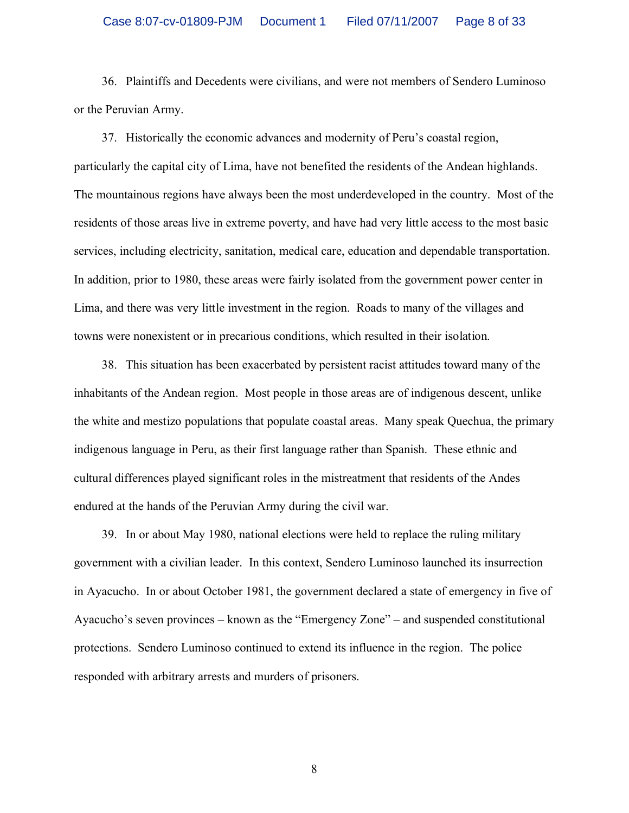36. Plaintiffs and Decedents were civilians, and were not members of Sendero Luminoso or the Peruvian Army.

37. Historically the economic advances and modernity of Peru's coastal region, particularly the capital city of Lima, have not benefited the residents of the Andean highlands. The mountainous regions have always been the most underdeveloped in the country. Most of the residents of those areas live in extreme poverty, and have had very little access to the most basic services, including electricity, sanitation, medical care, education and dependable transportation. In addition, prior to 1980, these areas were fairly isolated from the government power center in Lima, and there was very little investment in the region. Roads to many of the villages and towns were nonexistent or in precarious conditions, which resulted in their isolation.

38. This situation has been exacerbated by persistent racist attitudes toward many of the inhabitants of the Andean region. Most people in those areas are of indigenous descent, unlike the white and mestizo populations that populate coastal areas. Many speak Quechua, the primary indigenous language in Peru, as their first language rather than Spanish. These ethnic and cultural differences played significant roles in the mistreatment that residents of the Andes endured at the hands of the Peruvian Army during the civil war.

39. In or about May 1980, national elections were held to replace the ruling military government with a civilian leader. In this context, Sendero Luminoso launched its insurrection in Ayacucho. In or about October 1981, the government declared a state of emergency in five of Ayacucho's seven provinces – known as the "Emergency Zone" – and suspended constitutional protections. Sendero Luminoso continued to extend its influence in the region. The police responded with arbitrary arrests and murders of prisoners.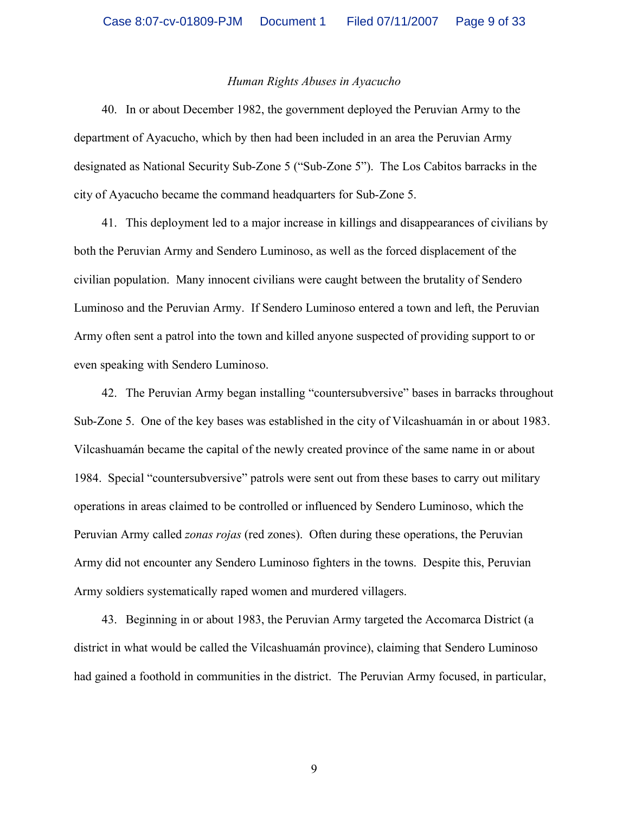#### *Human Rights Abuses in Ayacucho*

40. In or about December 1982, the government deployed the Peruvian Army to the department of Ayacucho, which by then had been included in an area the Peruvian Army designated as National Security Sub-Zone 5 ("Sub-Zone 5"). The Los Cabitos barracks in the city of Ayacucho became the command headquarters for Sub-Zone 5.

41. This deployment led to a major increase in killings and disappearances of civilians by both the Peruvian Army and Sendero Luminoso, as well as the forced displacement of the civilian population. Many innocent civilians were caught between the brutality of Sendero Luminoso and the Peruvian Army. If Sendero Luminoso entered a town and left, the Peruvian Army often sent a patrol into the town and killed anyone suspected of providing support to or even speaking with Sendero Luminoso.

42. The Peruvian Army began installing "countersubversive" bases in barracks throughout Sub-Zone 5. One of the key bases was established in the city of Vilcashuamán in or about 1983. Vilcashuamán became the capital of the newly created province of the same name in or about 1984. Special "countersubversive" patrols were sent out from these bases to carry out military operations in areas claimed to be controlled or influenced by Sendero Luminoso, which the Peruvian Army called *zonas rojas* (red zones). Often during these operations, the Peruvian Army did not encounter any Sendero Luminoso fighters in the towns. Despite this, Peruvian Army soldiers systematically raped women and murdered villagers.

43. Beginning in or about 1983, the Peruvian Army targeted the Accomarca District (a district in what would be called the Vilcashuamán province), claiming that Sendero Luminoso had gained a foothold in communities in the district. The Peruvian Army focused, in particular,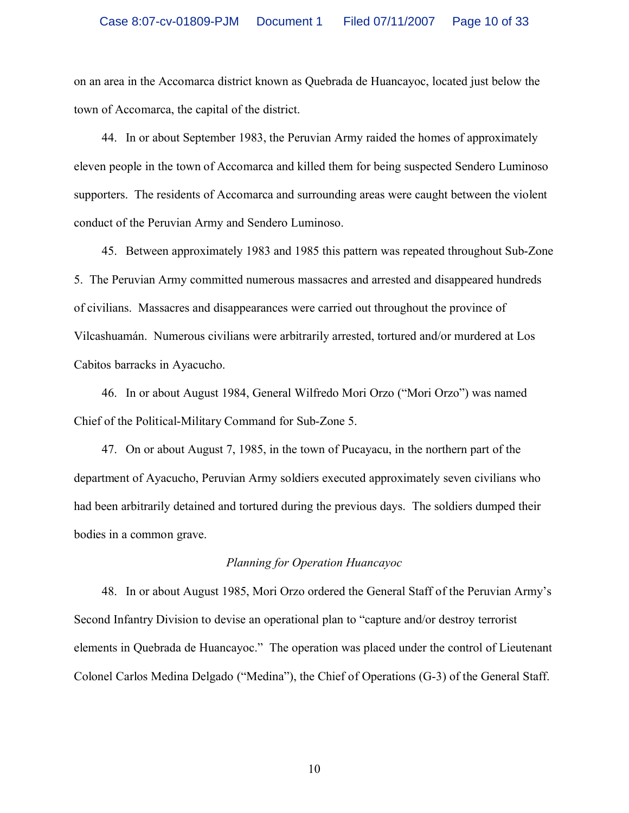on an area in the Accomarca district known as Quebrada de Huancayoc, located just below the town of Accomarca, the capital of the district.

44. In or about September 1983, the Peruvian Army raided the homes of approximately eleven people in the town of Accomarca and killed them for being suspected Sendero Luminoso supporters. The residents of Accomarca and surrounding areas were caught between the violent conduct of the Peruvian Army and Sendero Luminoso.

45. Between approximately 1983 and 1985 this pattern was repeated throughout Sub-Zone 5. The Peruvian Army committed numerous massacres and arrested and disappeared hundreds of civilians. Massacres and disappearances were carried out throughout the province of Vilcashuamán. Numerous civilians were arbitrarily arrested, tortured and/or murdered at Los Cabitos barracks in Ayacucho.

46. In or about August 1984, General Wilfredo Mori Orzo ("Mori Orzo") was named Chief of the Political-Military Command for Sub-Zone 5.

47. On or about August 7, 1985, in the town of Pucayacu, in the northern part of the department of Ayacucho, Peruvian Army soldiers executed approximately seven civilians who had been arbitrarily detained and tortured during the previous days. The soldiers dumped their bodies in a common grave.

#### *Planning for Operation Huancayoc*

48. In or about August 1985, Mori Orzo ordered the General Staff of the Peruvian Army's Second Infantry Division to devise an operational plan to "capture and/or destroy terrorist elements in Quebrada de Huancayoc." The operation was placed under the control of Lieutenant Colonel Carlos Medina Delgado ("Medina"), the Chief of Operations (G-3) of the General Staff.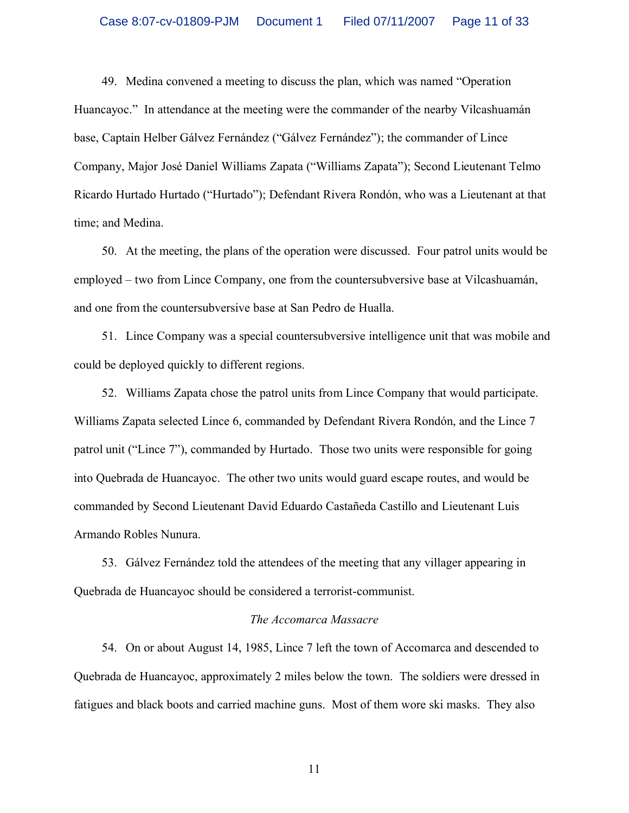49. Medina convened a meeting to discuss the plan, which was named "Operation Huancayoc." In attendance at the meeting were the commander of the nearby Vilcashuamán base, Captain Helber Gálvez Fernández ("Gálvez Fernández"); the commander of Lince Company, Major José Daniel Williams Zapata ("Williams Zapata"); Second Lieutenant Telmo Ricardo Hurtado Hurtado ("Hurtado"); Defendant Rivera Rondón, who was a Lieutenant at that time; and Medina.

50. At the meeting, the plans of the operation were discussed. Four patrol units would be employed – two from Lince Company, one from the countersubversive base at Vilcashuamán, and one from the countersubversive base at San Pedro de Hualla.

51. Lince Company was a special countersubversive intelligence unit that was mobile and could be deployed quickly to different regions.

52. Williams Zapata chose the patrol units from Lince Company that would participate. Williams Zapata selected Lince 6, commanded by Defendant Rivera Rondón, and the Lince 7 patrol unit ("Lince 7"), commanded by Hurtado. Those two units were responsible for going into Quebrada de Huancayoc. The other two units would guard escape routes, and would be commanded by Second Lieutenant David Eduardo Castañeda Castillo and Lieutenant Luis Armando Robles Nunura.

53. Gálvez Fernández told the attendees of the meeting that any villager appearing in Quebrada de Huancayoc should be considered a terrorist-communist.

#### *The Accomarca Massacre*

54. On or about August 14, 1985, Lince 7 left the town of Accomarca and descended to Quebrada de Huancayoc, approximately 2 miles below the town. The soldiers were dressed in fatigues and black boots and carried machine guns. Most of them wore ski masks. They also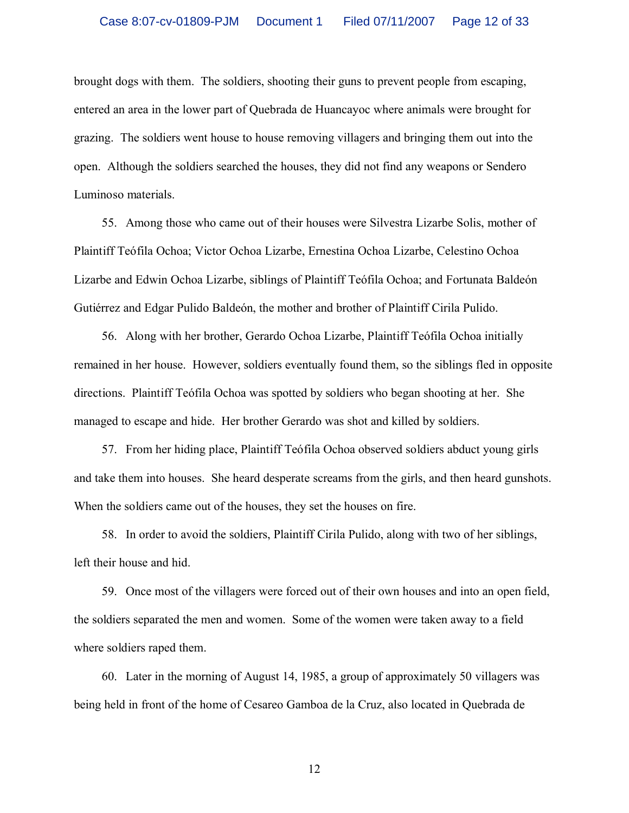brought dogs with them. The soldiers, shooting their guns to prevent people from escaping, entered an area in the lower part of Quebrada de Huancayoc where animals were brought for grazing. The soldiers went house to house removing villagers and bringing them out into the open. Although the soldiers searched the houses, they did not find any weapons or Sendero Luminoso materials.

55. Among those who came out of their houses were Silvestra Lizarbe Solis, mother of Plaintiff Teófila Ochoa; Victor Ochoa Lizarbe, Ernestina Ochoa Lizarbe, Celestino Ochoa Lizarbe and Edwin Ochoa Lizarbe, siblings of Plaintiff Teófila Ochoa; and Fortunata Baldeón Gutiérrez and Edgar Pulido Baldeón, the mother and brother of Plaintiff Cirila Pulido.

56. Along with her brother, Gerardo Ochoa Lizarbe, Plaintiff Teófila Ochoa initially remained in her house. However, soldiers eventually found them, so the siblings fled in opposite directions. Plaintiff Teófila Ochoa was spotted by soldiers who began shooting at her. She managed to escape and hide. Her brother Gerardo was shot and killed by soldiers.

57. From her hiding place, Plaintiff Teófila Ochoa observed soldiers abduct young girls and take them into houses. She heard desperate screams from the girls, and then heard gunshots. When the soldiers came out of the houses, they set the houses on fire.

58. In order to avoid the soldiers, Plaintiff Cirila Pulido, along with two of her siblings, left their house and hid.

59. Once most of the villagers were forced out of their own houses and into an open field, the soldiers separated the men and women. Some of the women were taken away to a field where soldiers raped them.

60. Later in the morning of August 14, 1985, a group of approximately 50 villagers was being held in front of the home of Cesareo Gamboa de la Cruz, also located in Quebrada de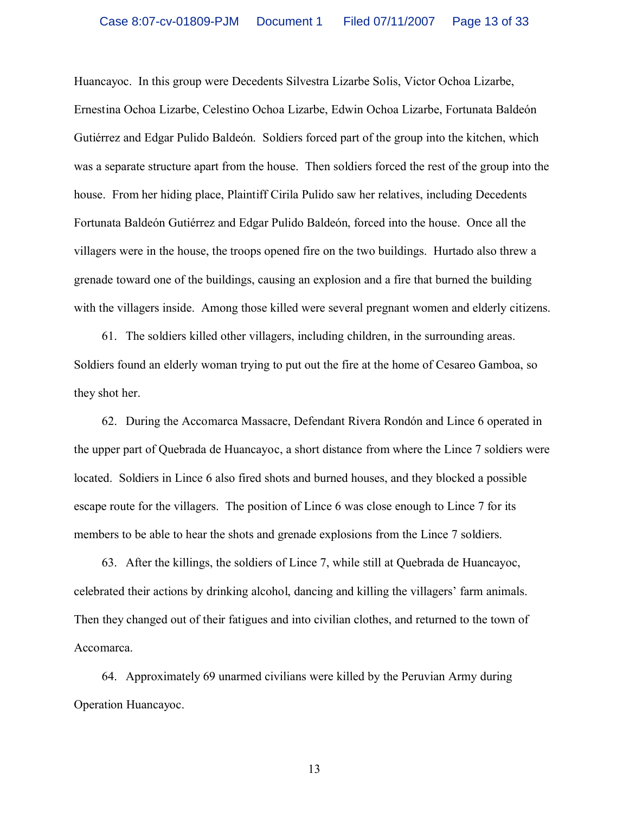Huancayoc. In this group were Decedents Silvestra Lizarbe Solis, Victor Ochoa Lizarbe, Ernestina Ochoa Lizarbe, Celestino Ochoa Lizarbe, Edwin Ochoa Lizarbe, Fortunata Baldeón Gutiérrez and Edgar Pulido Baldeón. Soldiers forced part of the group into the kitchen, which was a separate structure apart from the house. Then soldiers forced the rest of the group into the house. From her hiding place, Plaintiff Cirila Pulido saw her relatives, including Decedents Fortunata Baldeón Gutiérrez and Edgar Pulido Baldeón, forced into the house. Once all the villagers were in the house, the troops opened fire on the two buildings. Hurtado also threw a grenade toward one of the buildings, causing an explosion and a fire that burned the building with the villagers inside. Among those killed were several pregnant women and elderly citizens.

61. The soldiers killed other villagers, including children, in the surrounding areas. Soldiers found an elderly woman trying to put out the fire at the home of Cesareo Gamboa, so they shot her.

62. During the Accomarca Massacre, Defendant Rivera Rondón and Lince 6 operated in the upper part of Quebrada de Huancayoc, a short distance from where the Lince 7 soldiers were located. Soldiers in Lince 6 also fired shots and burned houses, and they blocked a possible escape route for the villagers. The position of Lince 6 was close enough to Lince 7 for its members to be able to hear the shots and grenade explosions from the Lince 7 soldiers.

63. After the killings, the soldiers of Lince 7, while still at Quebrada de Huancayoc, celebrated their actions by drinking alcohol, dancing and killing the villagers' farm animals. Then they changed out of their fatigues and into civilian clothes, and returned to the town of Accomarca.

64. Approximately 69 unarmed civilians were killed by the Peruvian Army during Operation Huancayoc.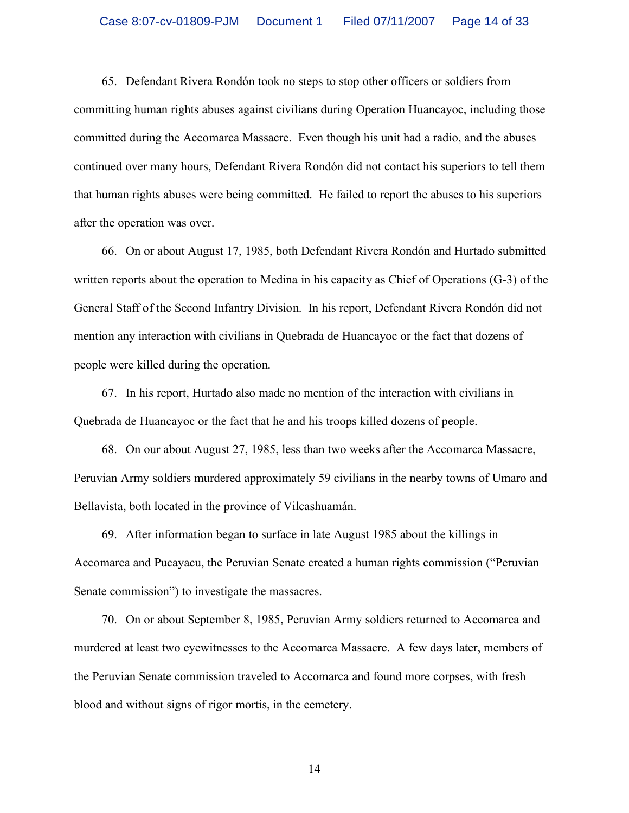65. Defendant Rivera Rondón took no steps to stop other officers or soldiers from committing human rights abuses against civilians during Operation Huancayoc, including those committed during the Accomarca Massacre. Even though his unit had a radio, and the abuses continued over many hours, Defendant Rivera Rondón did not contact his superiors to tell them that human rights abuses were being committed. He failed to report the abuses to his superiors after the operation was over.

66. On or about August 17, 1985, both Defendant Rivera Rondón and Hurtado submitted written reports about the operation to Medina in his capacity as Chief of Operations (G-3) of the General Staff of the Second Infantry Division. In his report, Defendant Rivera Rondón did not mention any interaction with civilians in Quebrada de Huancayoc or the fact that dozens of people were killed during the operation.

67. In his report, Hurtado also made no mention of the interaction with civilians in Quebrada de Huancayoc or the fact that he and his troops killed dozens of people.

68. On our about August 27, 1985, less than two weeks after the Accomarca Massacre, Peruvian Army soldiers murdered approximately 59 civilians in the nearby towns of Umaro and Bellavista, both located in the province of Vilcashuamán.

69. After information began to surface in late August 1985 about the killings in Accomarca and Pucayacu, the Peruvian Senate created a human rights commission ("Peruvian Senate commission") to investigate the massacres.

70. On or about September 8, 1985, Peruvian Army soldiers returned to Accomarca and murdered at least two eyewitnesses to the Accomarca Massacre. A few days later, members of the Peruvian Senate commission traveled to Accomarca and found more corpses, with fresh blood and without signs of rigor mortis, in the cemetery.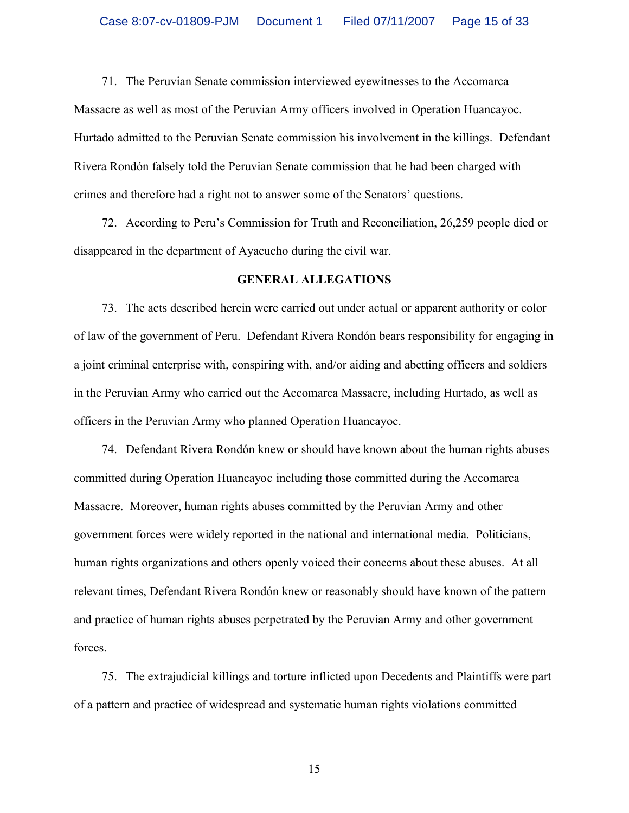71. The Peruvian Senate commission interviewed eyewitnesses to the Accomarca Massacre as well as most of the Peruvian Army officers involved in Operation Huancayoc. Hurtado admitted to the Peruvian Senate commission his involvement in the killings. Defendant Rivera Rondón falsely told the Peruvian Senate commission that he had been charged with crimes and therefore had a right not to answer some of the Senators' questions.

72. According to Peru's Commission for Truth and Reconciliation, 26,259 people died or disappeared in the department of Ayacucho during the civil war.

#### **GENERAL ALLEGATIONS**

73. The acts described herein were carried out under actual or apparent authority or color of law of the government of Peru. Defendant Rivera Rondón bears responsibility for engaging in a joint criminal enterprise with, conspiring with, and/or aiding and abetting officers and soldiers in the Peruvian Army who carried out the Accomarca Massacre, including Hurtado, as well as officers in the Peruvian Army who planned Operation Huancayoc.

74. Defendant Rivera Rondón knew or should have known about the human rights abuses committed during Operation Huancayoc including those committed during the Accomarca Massacre. Moreover, human rights abuses committed by the Peruvian Army and other government forces were widely reported in the national and international media. Politicians, human rights organizations and others openly voiced their concerns about these abuses. At all relevant times, Defendant Rivera Rondón knew or reasonably should have known of the pattern and practice of human rights abuses perpetrated by the Peruvian Army and other government forces.

75. The extrajudicial killings and torture inflicted upon Decedents and Plaintiffs were part of a pattern and practice of widespread and systematic human rights violations committed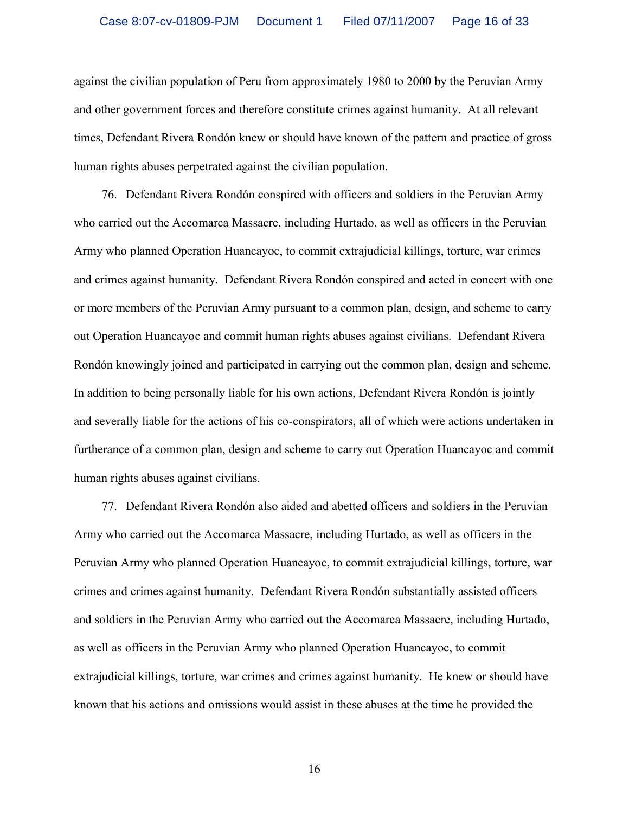against the civilian population of Peru from approximately 1980 to 2000 by the Peruvian Army and other government forces and therefore constitute crimes against humanity. At all relevant times, Defendant Rivera Rondón knew or should have known of the pattern and practice of gross human rights abuses perpetrated against the civilian population.

76. Defendant Rivera Rondón conspired with officers and soldiers in the Peruvian Army who carried out the Accomarca Massacre, including Hurtado, as well as officers in the Peruvian Army who planned Operation Huancayoc, to commit extrajudicial killings, torture, war crimes and crimes against humanity. Defendant Rivera Rondón conspired and acted in concert with one or more members of the Peruvian Army pursuant to a common plan, design, and scheme to carry out Operation Huancayoc and commit human rights abuses against civilians. Defendant Rivera Rondón knowingly joined and participated in carrying out the common plan, design and scheme. In addition to being personally liable for his own actions, Defendant Rivera Rondón is jointly and severally liable for the actions of his co-conspirators, all of which were actions undertaken in furtherance of a common plan, design and scheme to carry out Operation Huancayoc and commit human rights abuses against civilians.

77. Defendant Rivera Rondón also aided and abetted officers and soldiers in the Peruvian Army who carried out the Accomarca Massacre, including Hurtado, as well as officers in the Peruvian Army who planned Operation Huancayoc, to commit extrajudicial killings, torture, war crimes and crimes against humanity. Defendant Rivera Rondón substantially assisted officers and soldiers in the Peruvian Army who carried out the Accomarca Massacre, including Hurtado, as well as officers in the Peruvian Army who planned Operation Huancayoc, to commit extrajudicial killings, torture, war crimes and crimes against humanity. He knew or should have known that his actions and omissions would assist in these abuses at the time he provided the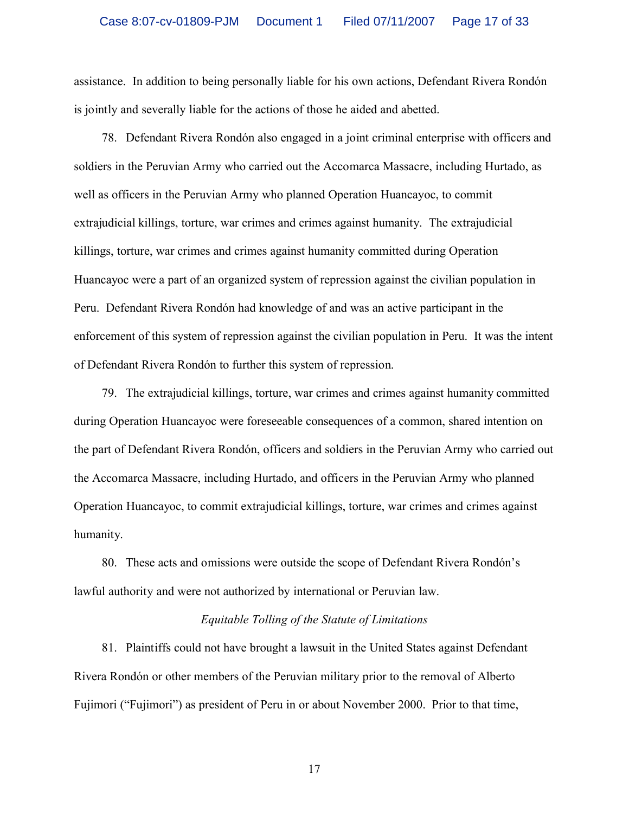assistance. In addition to being personally liable for his own actions, Defendant Rivera Rondón is jointly and severally liable for the actions of those he aided and abetted.

78. Defendant Rivera Rondón also engaged in a joint criminal enterprise with officers and soldiers in the Peruvian Army who carried out the Accomarca Massacre, including Hurtado, as well as officers in the Peruvian Army who planned Operation Huancayoc, to commit extrajudicial killings, torture, war crimes and crimes against humanity. The extrajudicial killings, torture, war crimes and crimes against humanity committed during Operation Huancayoc were a part of an organized system of repression against the civilian population in Peru. Defendant Rivera Rondón had knowledge of and was an active participant in the enforcement of this system of repression against the civilian population in Peru. It was the intent of Defendant Rivera Rondón to further this system of repression.

79. The extrajudicial killings, torture, war crimes and crimes against humanity committed during Operation Huancayoc were foreseeable consequences of a common, shared intention on the part of Defendant Rivera Rondón, officers and soldiers in the Peruvian Army who carried out the Accomarca Massacre, including Hurtado, and officers in the Peruvian Army who planned Operation Huancayoc, to commit extrajudicial killings, torture, war crimes and crimes against humanity.

80. These acts and omissions were outside the scope of Defendant Rivera Rondón's lawful authority and were not authorized by international or Peruvian law.

#### *Equitable Tolling of the Statute of Limitations*

81. Plaintiffs could not have brought a lawsuit in the United States against Defendant Rivera Rondón or other members of the Peruvian military prior to the removal of Alberto Fujimori ("Fujimori") as president of Peru in or about November 2000. Prior to that time,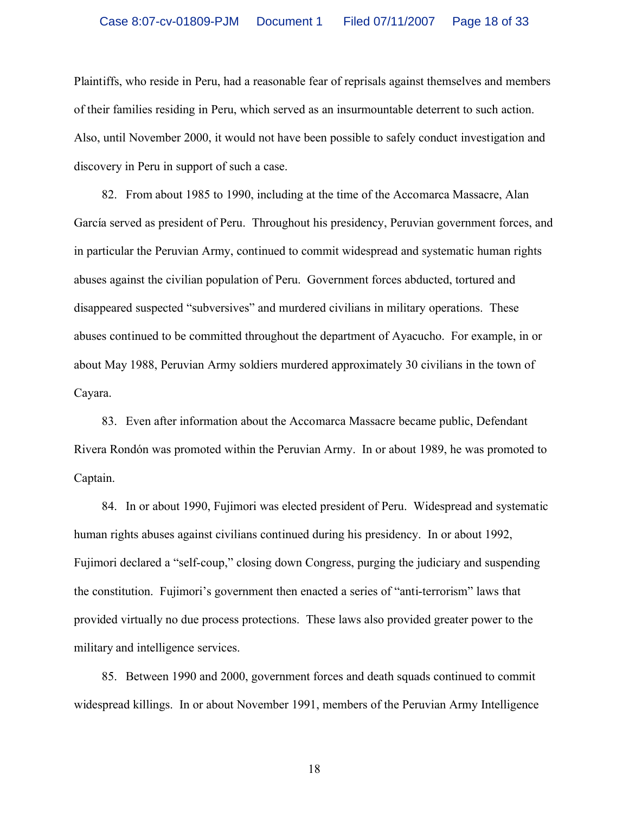Plaintiffs, who reside in Peru, had a reasonable fear of reprisals against themselves and members of their families residing in Peru, which served as an insurmountable deterrent to such action. Also, until November 2000, it would not have been possible to safely conduct investigation and discovery in Peru in support of such a case.

82. From about 1985 to 1990, including at the time of the Accomarca Massacre, Alan García served as president of Peru. Throughout his presidency, Peruvian government forces, and in particular the Peruvian Army, continued to commit widespread and systematic human rights abuses against the civilian population of Peru. Government forces abducted, tortured and disappeared suspected "subversives" and murdered civilians in military operations. These abuses continued to be committed throughout the department of Ayacucho. For example, in or about May 1988, Peruvian Army soldiers murdered approximately 30 civilians in the town of Cayara.

83. Even after information about the Accomarca Massacre became public, Defendant Rivera Rondón was promoted within the Peruvian Army. In or about 1989, he was promoted to Captain.

84. In or about 1990, Fujimori was elected president of Peru. Widespread and systematic human rights abuses against civilians continued during his presidency. In or about 1992, Fujimori declared a "self-coup," closing down Congress, purging the judiciary and suspending the constitution. Fujimori's government then enacted a series of "anti-terrorism" laws that provided virtually no due process protections. These laws also provided greater power to the military and intelligence services.

85. Between 1990 and 2000, government forces and death squads continued to commit widespread killings. In or about November 1991, members of the Peruvian Army Intelligence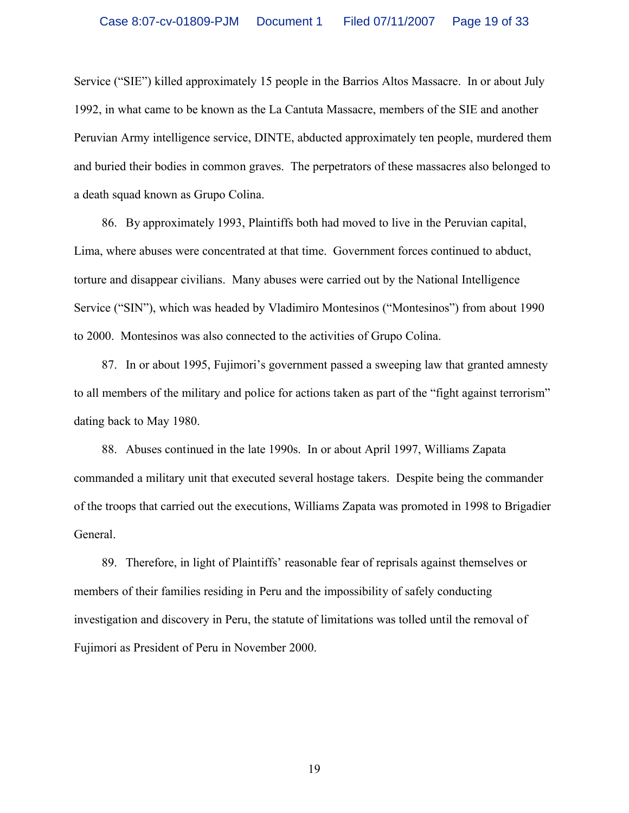Service ("SIE") killed approximately 15 people in the Barrios Altos Massacre. In or about July 1992, in what came to be known as the La Cantuta Massacre, members of the SIE and another Peruvian Army intelligence service, DINTE, abducted approximately ten people, murdered them and buried their bodies in common graves. The perpetrators of these massacres also belonged to a death squad known as Grupo Colina.

86. By approximately 1993, Plaintiffs both had moved to live in the Peruvian capital, Lima, where abuses were concentrated at that time. Government forces continued to abduct, torture and disappear civilians. Many abuses were carried out by the National Intelligence Service ("SIN"), which was headed by Vladimiro Montesinos ("Montesinos") from about 1990 to 2000. Montesinos was also connected to the activities of Grupo Colina.

87. In or about 1995, Fujimori's government passed a sweeping law that granted amnesty to all members of the military and police for actions taken as part of the "fight against terrorism" dating back to May 1980.

88. Abuses continued in the late 1990s. In or about April 1997, Williams Zapata commanded a military unit that executed several hostage takers. Despite being the commander of the troops that carried out the executions, Williams Zapata was promoted in 1998 to Brigadier General.

89. Therefore, in light of Plaintiffs' reasonable fear of reprisals against themselves or members of their families residing in Peru and the impossibility of safely conducting investigation and discovery in Peru, the statute of limitations was tolled until the removal of Fujimori as President of Peru in November 2000.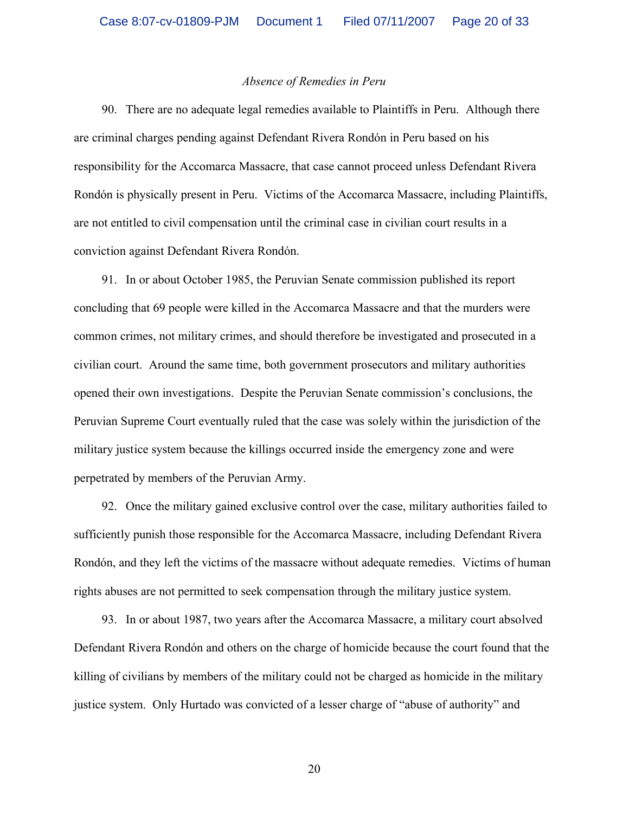#### *Absence of Remedies in Peru*

90. There are no adequate legal remedies available to Plaintiffs in Peru. Although there are criminal charges pending against Defendant Rivera Rondón in Peru based on his responsibility for the Accomarca Massacre, that case cannot proceed unless Defendant Rivera Rondón is physically present in Peru. Victims of the Accomarca Massacre, including Plaintiffs, are not entitled to civil compensation until the criminal case in civilian court results in a conviction against Defendant Rivera Rondón.

91. In or about October 1985, the Peruvian Senate commission published its report concluding that 69 people were killed in the Accomarca Massacre and that the murders were common crimes, not military crimes, and should therefore be investigated and prosecuted in a civilian court. Around the same time, both government prosecutors and military authorities opened their own investigations. Despite the Peruvian Senate commission's conclusions, the Peruvian Supreme Court eventually ruled that the case was solely within the jurisdiction of the military justice system because the killings occurred inside the emergency zone and were perpetrated by members of the Peruvian Army.

92. Once the military gained exclusive control over the case, military authorities failed to sufficiently punish those responsible for the Accomarca Massacre, including Defendant Rivera Rondón, and they left the victims of the massacre without adequate remedies. Victims of human rights abuses are not permitted to seek compensation through the military justice system.

93. In or about 1987, two years after the Accomarca Massacre, a military court absolved Defendant Rivera Rondón and others on the charge of homicide because the court found that the killing of civilians by members of the military could not be charged as homicide in the military justice system. Only Hurtado was convicted of a lesser charge of "abuse of authority" and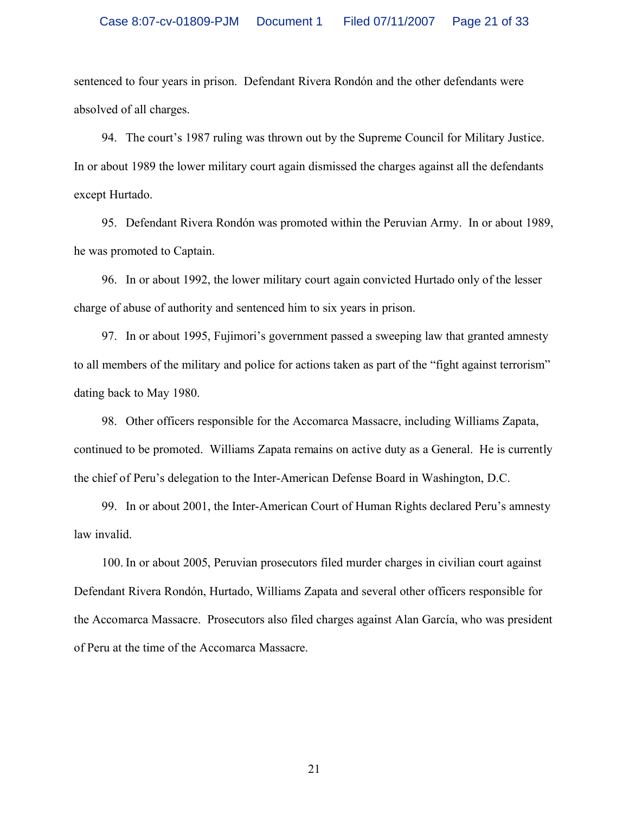sentenced to four years in prison. Defendant Rivera Rondón and the other defendants were absolved of all charges.

94. The court's 1987 ruling was thrown out by the Supreme Council for Military Justice. In or about 1989 the lower military court again dismissed the charges against all the defendants except Hurtado.

95. Defendant Rivera Rondón was promoted within the Peruvian Army. In or about 1989, he was promoted to Captain.

96. In or about 1992, the lower military court again convicted Hurtado only of the lesser charge of abuse of authority and sentenced him to six years in prison.

97. In or about 1995, Fujimori's government passed a sweeping law that granted amnesty to all members of the military and police for actions taken as part of the "fight against terrorism" dating back to May 1980.

98. Other officers responsible for the Accomarca Massacre, including Williams Zapata, continued to be promoted. Williams Zapata remains on active duty as a General. He is currently the chief of Peru's delegation to the Inter-American Defense Board in Washington, D.C.

99. In or about 2001, the Inter-American Court of Human Rights declared Peru's amnesty law invalid.

100. In or about 2005, Peruvian prosecutors filed murder charges in civilian court against Defendant Rivera Rondón, Hurtado, Williams Zapata and several other officers responsible for the Accomarca Massacre. Prosecutors also filed charges against Alan García, who was president of Peru at the time of the Accomarca Massacre.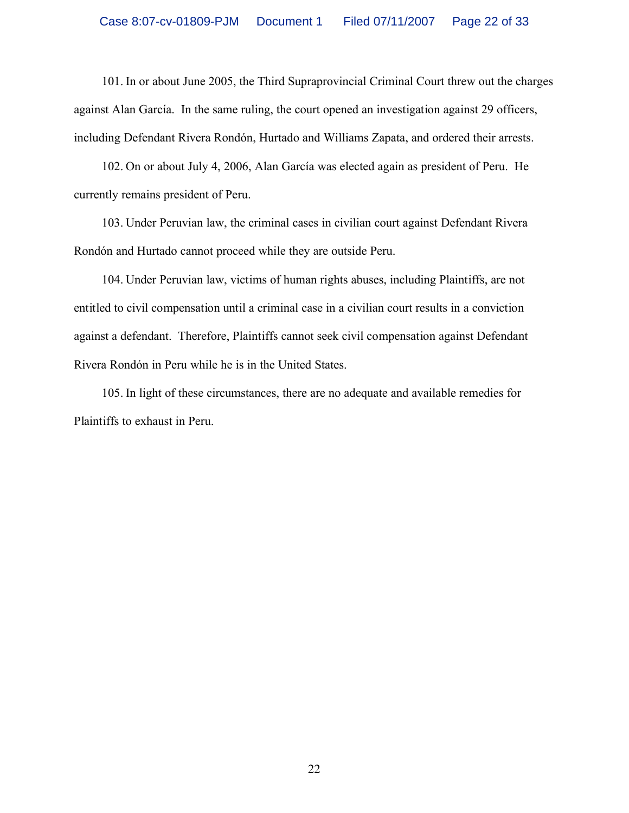101. In or about June 2005, the Third Supraprovincial Criminal Court threw out the charges against Alan García. In the same ruling, the court opened an investigation against 29 officers, including Defendant Rivera Rondón, Hurtado and Williams Zapata, and ordered their arrests.

102. On or about July 4, 2006, Alan García was elected again as president of Peru. He currently remains president of Peru.

103. Under Peruvian law, the criminal cases in civilian court against Defendant Rivera Rondón and Hurtado cannot proceed while they are outside Peru.

104. Under Peruvian law, victims of human rights abuses, including Plaintiffs, are not entitled to civil compensation until a criminal case in a civilian court results in a conviction against a defendant. Therefore, Plaintiffs cannot seek civil compensation against Defendant Rivera Rondón in Peru while he is in the United States.

105. In light of these circumstances, there are no adequate and available remedies for Plaintiffs to exhaust in Peru.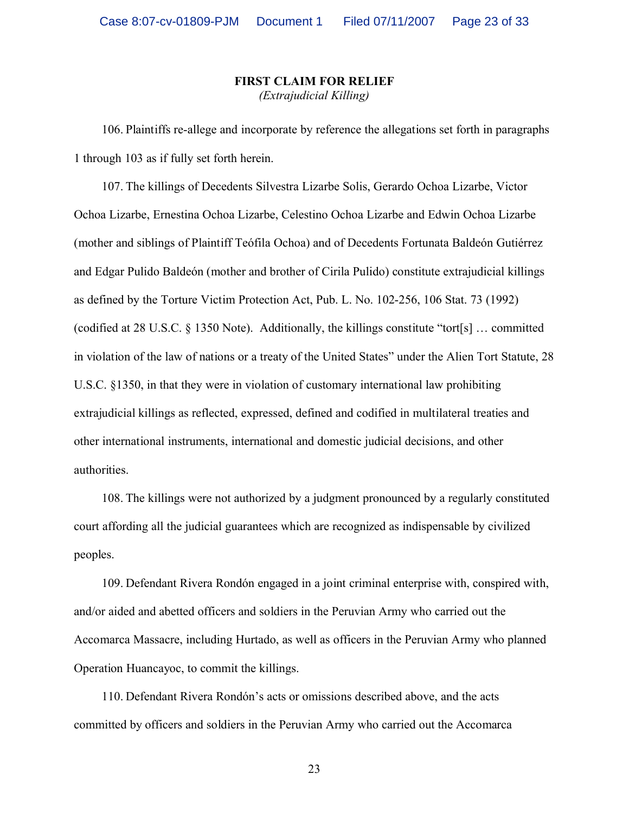## **FIRST CLAIM FOR RELIEF** *(Extrajudicial Killing)*

106. Plaintiffs re-allege and incorporate by reference the allegations set forth in paragraphs 1 through 103 as if fully set forth herein.

107. The killings of Decedents Silvestra Lizarbe Solis, Gerardo Ochoa Lizarbe, Victor Ochoa Lizarbe, Ernestina Ochoa Lizarbe, Celestino Ochoa Lizarbe and Edwin Ochoa Lizarbe (mother and siblings of Plaintiff Teófila Ochoa) and of Decedents Fortunata Baldeón Gutiérrez and Edgar Pulido Baldeón (mother and brother of Cirila Pulido) constitute extrajudicial killings as defined by the Torture Victim Protection Act, Pub. L. No. 102-256, 106 Stat. 73 (1992) (codified at 28 U.S.C. § 1350 Note). Additionally, the killings constitute "tort[s] … committed in violation of the law of nations or a treaty of the United States" under the Alien Tort Statute, 28 U.S.C. §1350, in that they were in violation of customary international law prohibiting extrajudicial killings as reflected, expressed, defined and codified in multilateral treaties and other international instruments, international and domestic judicial decisions, and other authorities.

108. The killings were not authorized by a judgment pronounced by a regularly constituted court affording all the judicial guarantees which are recognized as indispensable by civilized peoples.

109. Defendant Rivera Rondón engaged in a joint criminal enterprise with, conspired with, and/or aided and abetted officers and soldiers in the Peruvian Army who carried out the Accomarca Massacre, including Hurtado, as well as officers in the Peruvian Army who planned Operation Huancayoc, to commit the killings.

110. Defendant Rivera Rondón's acts or omissions described above, and the acts committed by officers and soldiers in the Peruvian Army who carried out the Accomarca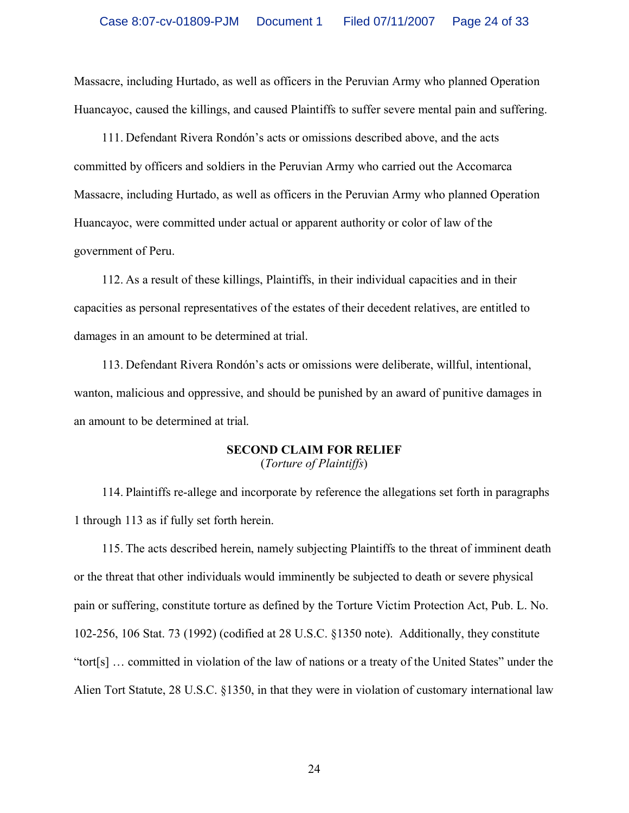Massacre, including Hurtado, as well as officers in the Peruvian Army who planned Operation Huancayoc, caused the killings, and caused Plaintiffs to suffer severe mental pain and suffering.

111. Defendant Rivera Rondón's acts or omissions described above, and the acts committed by officers and soldiers in the Peruvian Army who carried out the Accomarca Massacre, including Hurtado, as well as officers in the Peruvian Army who planned Operation Huancayoc, were committed under actual or apparent authority or color of law of the government of Peru.

112. As a result of these killings, Plaintiffs, in their individual capacities and in their capacities as personal representatives of the estates of their decedent relatives, are entitled to damages in an amount to be determined at trial.

113. Defendant Rivera Rondón's acts or omissions were deliberate, willful, intentional, wanton, malicious and oppressive, and should be punished by an award of punitive damages in an amount to be determined at trial.

### **SECOND CLAIM FOR RELIEF** (*Torture of Plaintiffs*)

114. Plaintiffs re-allege and incorporate by reference the allegations set forth in paragraphs 1 through 113 as if fully set forth herein.

115. The acts described herein, namely subjecting Plaintiffs to the threat of imminent death or the threat that other individuals would imminently be subjected to death or severe physical pain or suffering, constitute torture as defined by the Torture Victim Protection Act, Pub. L. No. 102-256, 106 Stat. 73 (1992) (codified at 28 U.S.C. §1350 note). Additionally, they constitute "tort[s] … committed in violation of the law of nations or a treaty of the United States" under the Alien Tort Statute, 28 U.S.C. §1350, in that they were in violation of customary international law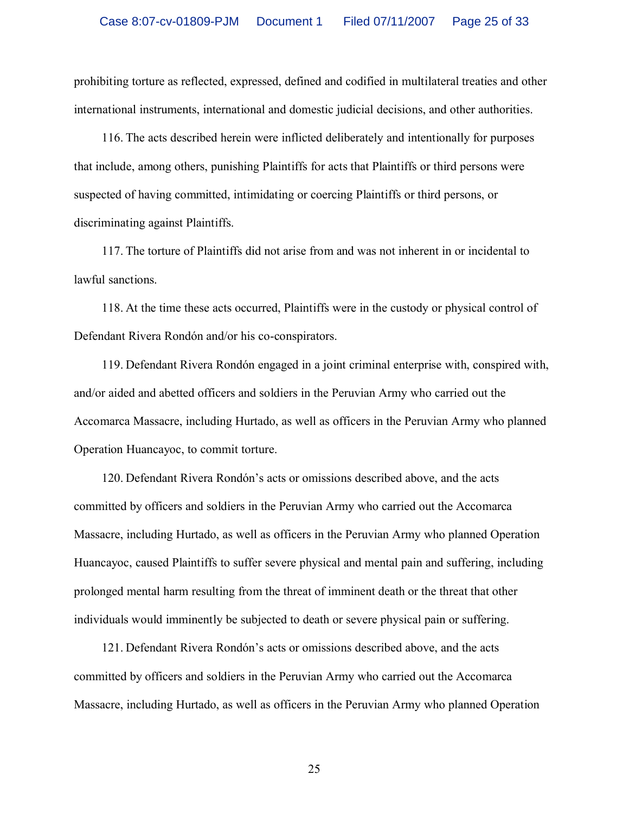prohibiting torture as reflected, expressed, defined and codified in multilateral treaties and other international instruments, international and domestic judicial decisions, and other authorities.

116. The acts described herein were inflicted deliberately and intentionally for purposes that include, among others, punishing Plaintiffs for acts that Plaintiffs or third persons were suspected of having committed, intimidating or coercing Plaintiffs or third persons, or discriminating against Plaintiffs.

117. The torture of Plaintiffs did not arise from and was not inherent in or incidental to lawful sanctions.

118. At the time these acts occurred, Plaintiffs were in the custody or physical control of Defendant Rivera Rondón and/or his co-conspirators.

119. Defendant Rivera Rondón engaged in a joint criminal enterprise with, conspired with, and/or aided and abetted officers and soldiers in the Peruvian Army who carried out the Accomarca Massacre, including Hurtado, as well as officers in the Peruvian Army who planned Operation Huancayoc, to commit torture.

120. Defendant Rivera Rondón's acts or omissions described above, and the acts committed by officers and soldiers in the Peruvian Army who carried out the Accomarca Massacre, including Hurtado, as well as officers in the Peruvian Army who planned Operation Huancayoc, caused Plaintiffs to suffer severe physical and mental pain and suffering, including prolonged mental harm resulting from the threat of imminent death or the threat that other individuals would imminently be subjected to death or severe physical pain or suffering.

121. Defendant Rivera Rondón's acts or omissions described above, and the acts committed by officers and soldiers in the Peruvian Army who carried out the Accomarca Massacre, including Hurtado, as well as officers in the Peruvian Army who planned Operation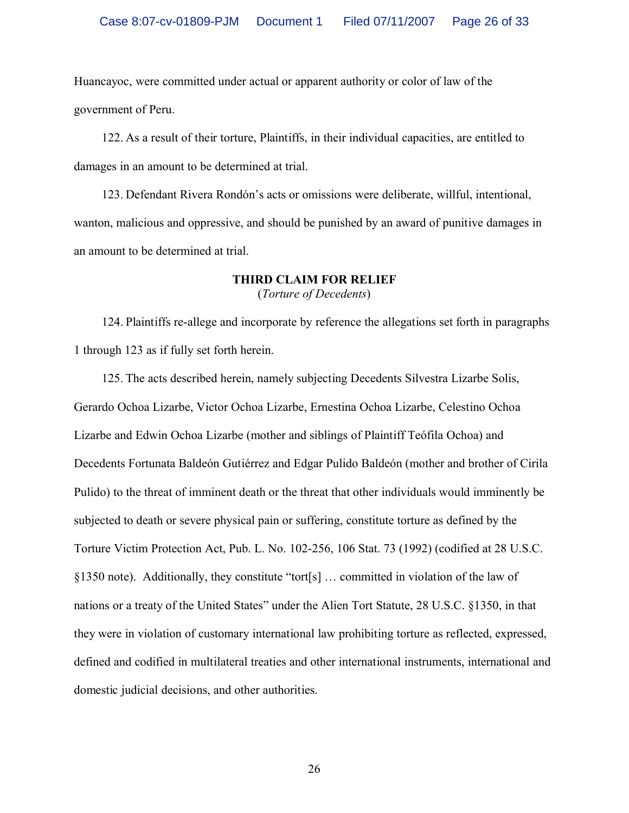Huancayoc, were committed under actual or apparent authority or color of law of the government of Peru.

122. As a result of their torture, Plaintiffs, in their individual capacities, are entitled to damages in an amount to be determined at trial.

123. Defendant Rivera Rondón's acts or omissions were deliberate, willful, intentional, wanton, malicious and oppressive, and should be punished by an award of punitive damages in an amount to be determined at trial.

#### **THIRD CLAIM FOR RELIEF** (*Torture of Decedents*)

124. Plaintiffs re-allege and incorporate by reference the allegations set forth in paragraphs 1 through 123 as if fully set forth herein.

125. The acts described herein, namely subjecting Decedents Silvestra Lizarbe Solis, Gerardo Ochoa Lizarbe, Victor Ochoa Lizarbe, Ernestina Ochoa Lizarbe, Celestino Ochoa Lizarbe and Edwin Ochoa Lizarbe (mother and siblings of Plaintiff Teófila Ochoa) and Decedents Fortunata Baldeón Gutiérrez and Edgar Pulido Baldeón (mother and brother of Cirila Pulido) to the threat of imminent death or the threat that other individuals would imminently be subjected to death or severe physical pain or suffering, constitute torture as defined by the Torture Victim Protection Act, Pub. L. No. 102-256, 106 Stat. 73 (1992) (codified at 28 U.S.C. §1350 note). Additionally, they constitute "tort[s] … committed in violation of the law of nations or a treaty of the United States" under the Alien Tort Statute, 28 U.S.C. §1350, in that they were in violation of customary international law prohibiting torture as reflected, expressed, defined and codified in multilateral treaties and other international instruments, international and domestic judicial decisions, and other authorities.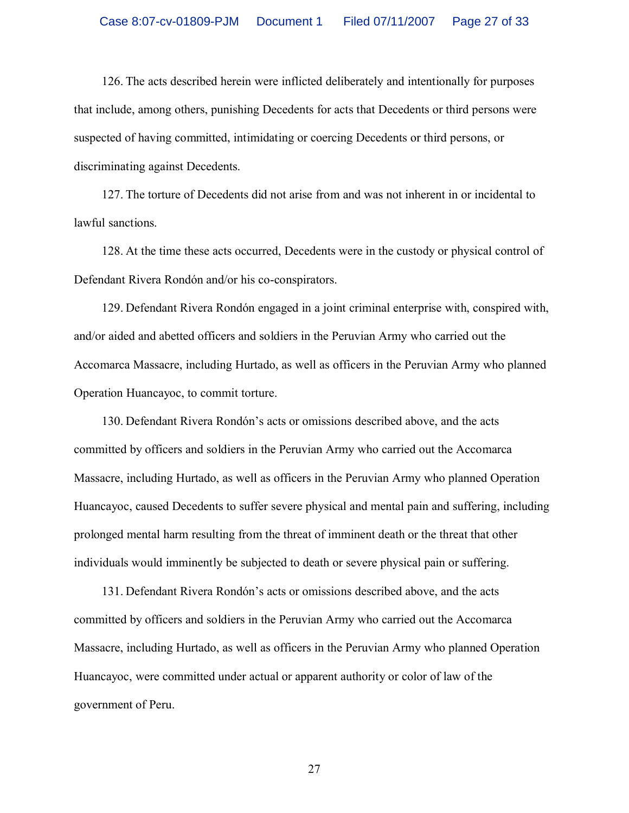126. The acts described herein were inflicted deliberately and intentionally for purposes that include, among others, punishing Decedents for acts that Decedents or third persons were suspected of having committed, intimidating or coercing Decedents or third persons, or discriminating against Decedents.

127. The torture of Decedents did not arise from and was not inherent in or incidental to lawful sanctions.

128. At the time these acts occurred, Decedents were in the custody or physical control of Defendant Rivera Rondón and/or his co-conspirators.

129. Defendant Rivera Rondón engaged in a joint criminal enterprise with, conspired with, and/or aided and abetted officers and soldiers in the Peruvian Army who carried out the Accomarca Massacre, including Hurtado, as well as officers in the Peruvian Army who planned Operation Huancayoc, to commit torture.

130. Defendant Rivera Rondón's acts or omissions described above, and the acts committed by officers and soldiers in the Peruvian Army who carried out the Accomarca Massacre, including Hurtado, as well as officers in the Peruvian Army who planned Operation Huancayoc, caused Decedents to suffer severe physical and mental pain and suffering, including prolonged mental harm resulting from the threat of imminent death or the threat that other individuals would imminently be subjected to death or severe physical pain or suffering.

131. Defendant Rivera Rondón's acts or omissions described above, and the acts committed by officers and soldiers in the Peruvian Army who carried out the Accomarca Massacre, including Hurtado, as well as officers in the Peruvian Army who planned Operation Huancayoc, were committed under actual or apparent authority or color of law of the government of Peru.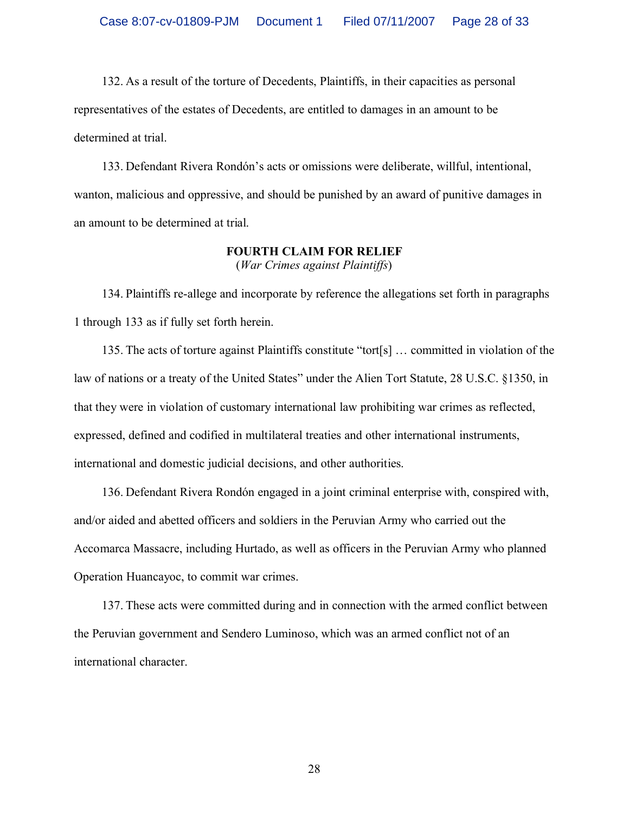132. As a result of the torture of Decedents, Plaintiffs, in their capacities as personal representatives of the estates of Decedents, are entitled to damages in an amount to be determined at trial.

133. Defendant Rivera Rondón's acts or omissions were deliberate, willful, intentional, wanton, malicious and oppressive, and should be punished by an award of punitive damages in an amount to be determined at trial.

#### **FOURTH CLAIM FOR RELIEF** (*War Crimes against Plaintiffs*)

134. Plaintiffs re-allege and incorporate by reference the allegations set forth in paragraphs 1 through 133 as if fully set forth herein.

135. The acts of torture against Plaintiffs constitute "tort[s] … committed in violation of the law of nations or a treaty of the United States" under the Alien Tort Statute, 28 U.S.C. §1350, in that they were in violation of customary international law prohibiting war crimes as reflected, expressed, defined and codified in multilateral treaties and other international instruments, international and domestic judicial decisions, and other authorities.

136. Defendant Rivera Rondón engaged in a joint criminal enterprise with, conspired with, and/or aided and abetted officers and soldiers in the Peruvian Army who carried out the Accomarca Massacre, including Hurtado, as well as officers in the Peruvian Army who planned Operation Huancayoc, to commit war crimes.

137. These acts were committed during and in connection with the armed conflict between the Peruvian government and Sendero Luminoso, which was an armed conflict not of an international character.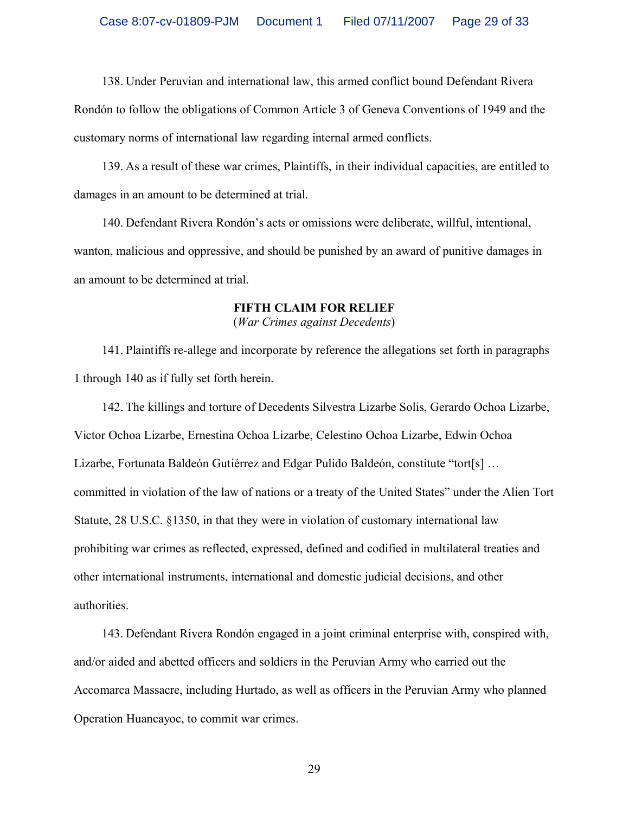138. Under Peruvian and international law, this armed conflict bound Defendant Rivera Rondón to follow the obligations of Common Article 3 of Geneva Conventions of 1949 and the customary norms of international law regarding internal armed conflicts.

139. As a result of these war crimes, Plaintiffs, in their individual capacities, are entitled to damages in an amount to be determined at trial.

140. Defendant Rivera Rondón's acts or omissions were deliberate, willful, intentional, wanton, malicious and oppressive, and should be punished by an award of punitive damages in an amount to be determined at trial.

# **FIFTH CLAIM FOR RELIEF**

(*War Crimes against Decedents*)

141. Plaintiffs re-allege and incorporate by reference the allegations set forth in paragraphs 1 through 140 as if fully set forth herein.

142. The killings and torture of Decedents Silvestra Lizarbe Solis, Gerardo Ochoa Lizarbe, Victor Ochoa Lizarbe, Ernestina Ochoa Lizarbe, Celestino Ochoa Lizarbe, Edwin Ochoa Lizarbe, Fortunata Baldeón Gutiérrez and Edgar Pulido Baldeón, constitute "tort[s] … committed in violation of the law of nations or a treaty of the United States" under the Alien Tort Statute, 28 U.S.C. §1350, in that they were in violation of customary international law prohibiting war crimes as reflected, expressed, defined and codified in multilateral treaties and other international instruments, international and domestic judicial decisions, and other authorities.

143. Defendant Rivera Rondón engaged in a joint criminal enterprise with, conspired with, and/or aided and abetted officers and soldiers in the Peruvian Army who carried out the Accomarca Massacre, including Hurtado, as well as officers in the Peruvian Army who planned Operation Huancayoc, to commit war crimes.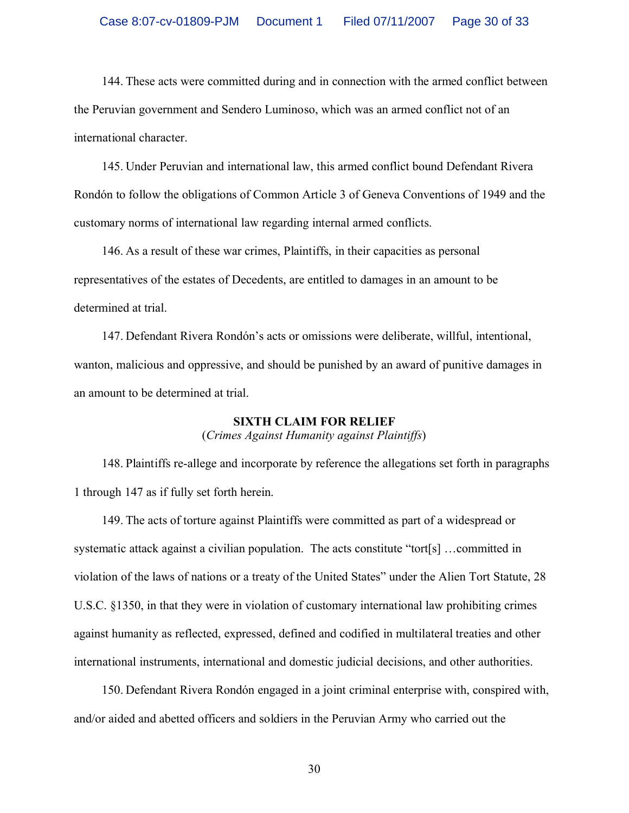144. These acts were committed during and in connection with the armed conflict between the Peruvian government and Sendero Luminoso, which was an armed conflict not of an international character.

145. Under Peruvian and international law, this armed conflict bound Defendant Rivera Rondón to follow the obligations of Common Article 3 of Geneva Conventions of 1949 and the customary norms of international law regarding internal armed conflicts.

146. As a result of these war crimes, Plaintiffs, in their capacities as personal representatives of the estates of Decedents, are entitled to damages in an amount to be determined at trial.

147. Defendant Rivera Rondón's acts or omissions were deliberate, willful, intentional, wanton, malicious and oppressive, and should be punished by an award of punitive damages in an amount to be determined at trial.

### **SIXTH CLAIM FOR RELIEF**

(*Crimes Against Humanity against Plaintiffs*)

148. Plaintiffs re-allege and incorporate by reference the allegations set forth in paragraphs 1 through 147 as if fully set forth herein.

149. The acts of torture against Plaintiffs were committed as part of a widespread or systematic attack against a civilian population. The acts constitute "tort[s] …committed in violation of the laws of nations or a treaty of the United States" under the Alien Tort Statute, 28 U.S.C. §1350, in that they were in violation of customary international law prohibiting crimes against humanity as reflected, expressed, defined and codified in multilateral treaties and other international instruments, international and domestic judicial decisions, and other authorities.

150. Defendant Rivera Rondón engaged in a joint criminal enterprise with, conspired with, and/or aided and abetted officers and soldiers in the Peruvian Army who carried out the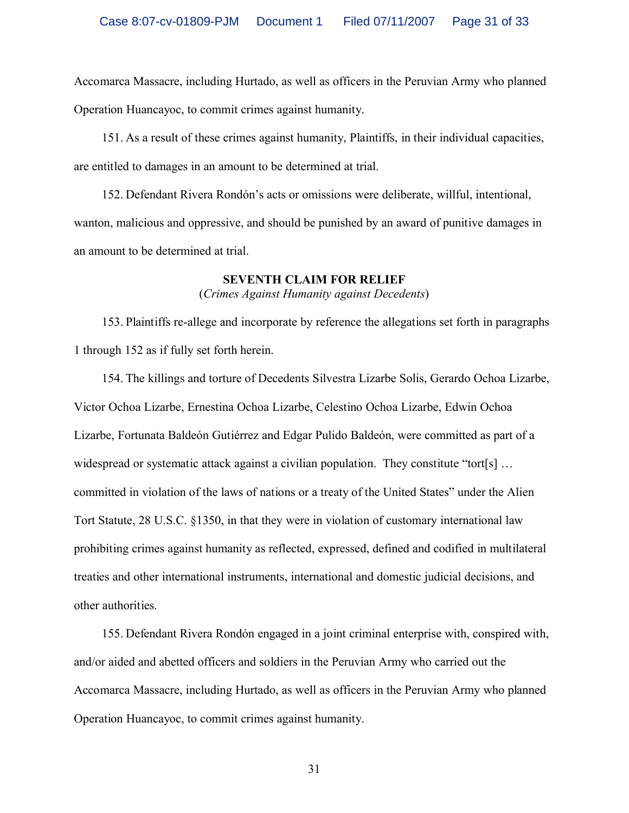Accomarca Massacre, including Hurtado, as well as officers in the Peruvian Army who planned Operation Huancayoc, to commit crimes against humanity.

151. As a result of these crimes against humanity, Plaintiffs, in their individual capacities, are entitled to damages in an amount to be determined at trial.

152. Defendant Rivera Rondón's acts or omissions were deliberate, willful, intentional, wanton, malicious and oppressive, and should be punished by an award of punitive damages in an amount to be determined at trial.

#### **SEVENTH CLAIM FOR RELIEF**

(*Crimes Against Humanity against Decedents*)

153. Plaintiffs re-allege and incorporate by reference the allegations set forth in paragraphs 1 through 152 as if fully set forth herein.

154. The killings and torture of Decedents Silvestra Lizarbe Solis, Gerardo Ochoa Lizarbe, Victor Ochoa Lizarbe, Ernestina Ochoa Lizarbe, Celestino Ochoa Lizarbe, Edwin Ochoa Lizarbe, Fortunata Baldeón Gutiérrez and Edgar Pulido Baldeón, were committed as part of a widespread or systematic attack against a civilian population. They constitute "tort[s] ... committed in violation of the laws of nations or a treaty of the United States" under the Alien Tort Statute, 28 U.S.C. §1350, in that they were in violation of customary international law prohibiting crimes against humanity as reflected, expressed, defined and codified in multilateral treaties and other international instruments, international and domestic judicial decisions, and other authorities.

155. Defendant Rivera Rondón engaged in a joint criminal enterprise with, conspired with, and/or aided and abetted officers and soldiers in the Peruvian Army who carried out the Accomarca Massacre, including Hurtado, as well as officers in the Peruvian Army who planned Operation Huancayoc, to commit crimes against humanity.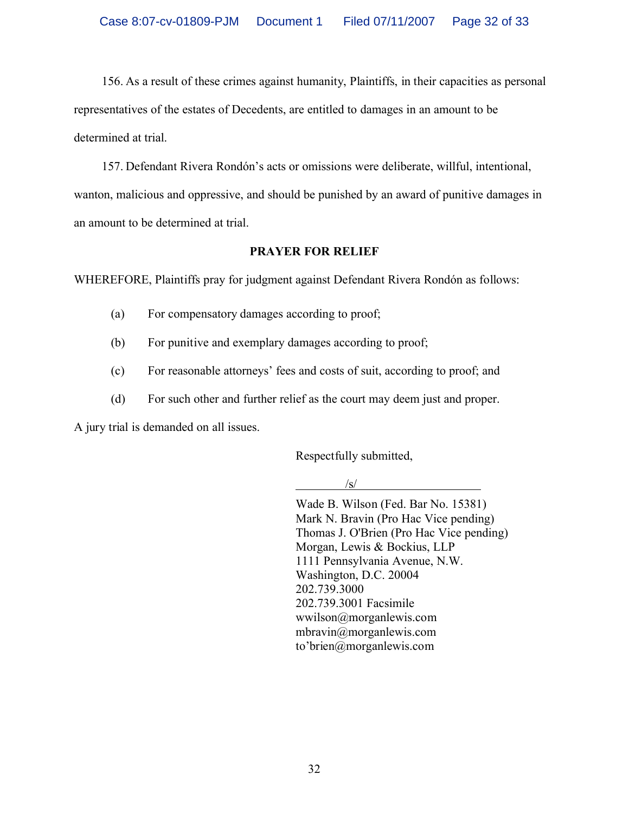156. As a result of these crimes against humanity, Plaintiffs, in their capacities as personal representatives of the estates of Decedents, are entitled to damages in an amount to be determined at trial.

157. Defendant Rivera Rondón's acts or omissions were deliberate, willful, intentional, wanton, malicious and oppressive, and should be punished by an award of punitive damages in an amount to be determined at trial.

## **PRAYER FOR RELIEF**

WHEREFORE, Plaintiffs pray for judgment against Defendant Rivera Rondón as follows:

- (a) For compensatory damages according to proof;
- (b) For punitive and exemplary damages according to proof;
- (c) For reasonable attorneys' fees and costs of suit, according to proof; and
- (d) For such other and further relief as the court may deem just and proper.

A jury trial is demanded on all issues.

Respectfully submitted,

/s/

Wade B. Wilson (Fed. Bar No. 15381) Mark N. Bravin (Pro Hac Vice pending) Thomas J. O'Brien (Pro Hac Vice pending) Morgan, Lewis & Bockius, LLP 1111 Pennsylvania Avenue, N.W. Washington, D.C. 20004 202.739.3000 202.739.3001 Facsimile wwilson@morganlewis.com mbravin@morganlewis.com to'brien@morganlewis.com